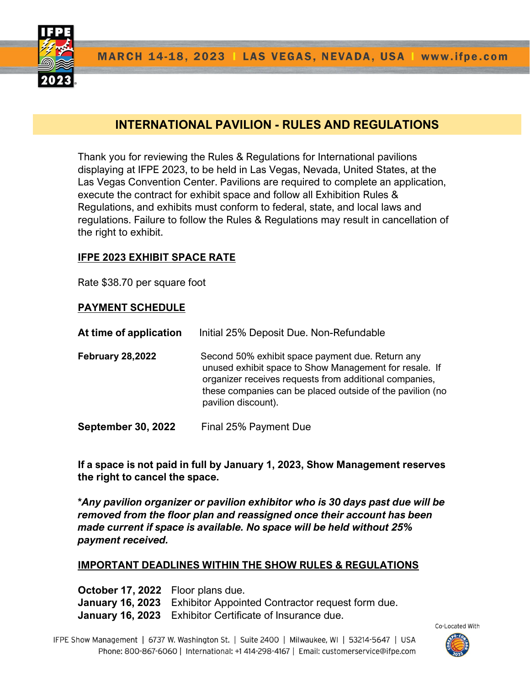

# INTERNATIONAL PAVILION - RULES AND REGULATIONS

Thank you for reviewing the Rules & Regulations for International pavilions displaying at IFPE 2023, to be held in Las Vegas, Nevada, United States, at the Las Vegas Convention Center. Pavilions are required to complete an application, execute the contract for exhibit space and follow all Exhibition Rules & Regulations, and exhibits must conform to federal, state, and local laws and regulations. Failure to follow the Rules & Regulations may result in cancellation of the right to exhibit.

#### IFPE 2023 EXHIBIT SPACE RATE

Rate \$38.70 per square foot

#### PAYMENT SCHEDULE

| At time of application    | Initial 25% Deposit Due. Non-Refundable                                                                                                                                                                                                                  |
|---------------------------|----------------------------------------------------------------------------------------------------------------------------------------------------------------------------------------------------------------------------------------------------------|
| <b>February 28,2022</b>   | Second 50% exhibit space payment due. Return any<br>unused exhibit space to Show Management for resale. If<br>organizer receives requests from additional companies,<br>these companies can be placed outside of the pavilion (no<br>pavilion discount). |
| <b>September 30, 2022</b> | Final 25% Payment Due                                                                                                                                                                                                                                    |

If a space is not paid in full by January 1, 2023, Show Management reserves the right to cancel the space.

\*Any pavilion organizer or pavilion exhibitor who is 30 days past due will be removed from the floor plan and reassigned once their account has been made current if space is available. No space will be held without 25% payment received.

#### IMPORTANT DEADLINES WITHIN THE SHOW RULES & REGULATIONS

October 17, 2022 Floor plans due. January 16, 2023 Exhibitor Appointed Contractor request form due. January 16, 2023 Exhibitor Certificate of Insurance due.

IFPE Show Management | 6737 W. Washington St. | Suite 2400 | Milwaukee, WI | 53214-5647 | USA Phone: 800-867-6060 | International: +1 414-298-4167 | Email: customerservice@ifpe.com

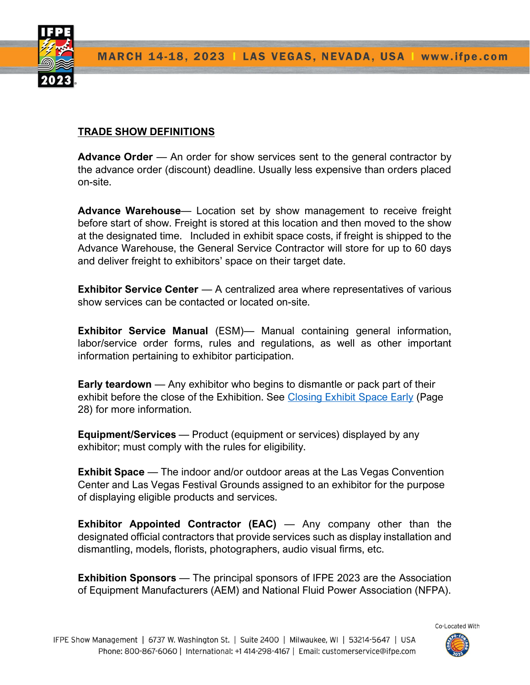

# TRADE SHOW DEFINITIONS

**Advance Order** — An order for show services sent to the general contractor by the advance order (discount) deadline. Usually less expensive than orders placed on-site.

Advance Warehouse— Location set by show management to receive freight before start of show. Freight is stored at this location and then moved to the show at the designated time. Included in exhibit space costs, if freight is shipped to the Advance Warehouse, the General Service Contractor will store for up to 60 days and deliver freight to exhibitors' space on their target date.

Exhibitor Service Center — A centralized area where representatives of various show services can be contacted or located on-site.

Exhibitor Service Manual (ESM)— Manual containing general information, labor/service order forms, rules and regulations, as well as other important information pertaining to exhibitor participation.

Early teardown — Any exhibitor who begins to dismantle or pack part of their exhibit before the close of the Exhibition. See Closing Exhibit Space Early (Page 28) for more information.

Equipment/Services — Product (equipment or services) displayed by any exhibitor; must comply with the rules for eligibility.

Exhibit Space — The indoor and/or outdoor areas at the Las Vegas Convention Center and Las Vegas Festival Grounds assigned to an exhibitor for the purpose of displaying eligible products and services.

**Exhibitor Appointed Contractor (EAC)**  $-$  Any company other than the designated official contractors that provide services such as display installation and dismantling, models, florists, photographers, audio visual firms, etc.

**Exhibition Sponsors** — The principal sponsors of IFPE 2023 are the Association of Equipment Manufacturers (AEM) and National Fluid Power Association (NFPA).

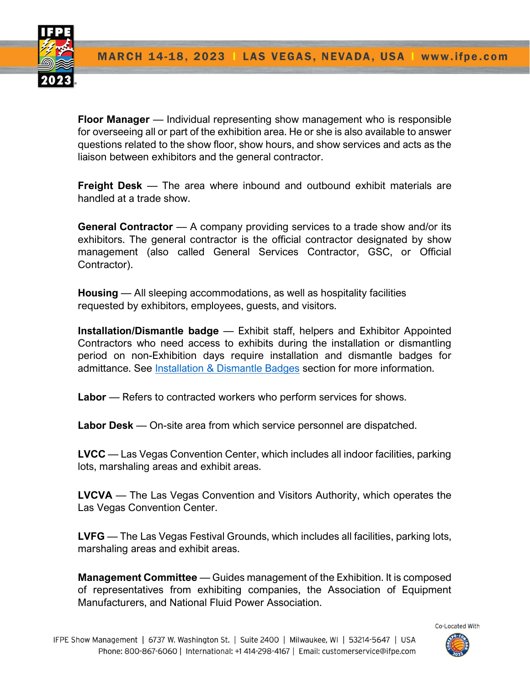

Floor Manager — Individual representing show management who is responsible for overseeing all or part of the exhibition area. He or she is also available to answer questions related to the show floor, show hours, and show services and acts as the liaison between exhibitors and the general contractor.

Freight Desk – The area where inbound and outbound exhibit materials are handled at a trade show.

General Contractor — A company providing services to a trade show and/or its exhibitors. The general contractor is the official contractor designated by show management (also called General Services Contractor, GSC, or Official Contractor).

Housing — All sleeping accommodations, as well as hospitality facilities requested by exhibitors, employees, guests, and visitors.

Installation/Dismantle badge — Exhibit staff, helpers and Exhibitor Appointed Contractors who need access to exhibits during the installation or dismantling period on non-Exhibition days require installation and dismantle badges for admittance. See Installation & Dismantle Badges section for more information.

Labor — Refers to contracted workers who perform services for shows.

Labor Desk — On-site area from which service personnel are dispatched.

LVCC — Las Vegas Convention Center, which includes all indoor facilities, parking lots, marshaling areas and exhibit areas.

LVCVA — The Las Vegas Convention and Visitors Authority, which operates the Las Vegas Convention Center.

LVFG — The Las Vegas Festival Grounds, which includes all facilities, parking lots, marshaling areas and exhibit areas.

**Management Committee** — Guides management of the Exhibition. It is composed of representatives from exhibiting companies, the Association of Equipment Manufacturers, and National Fluid Power Association.

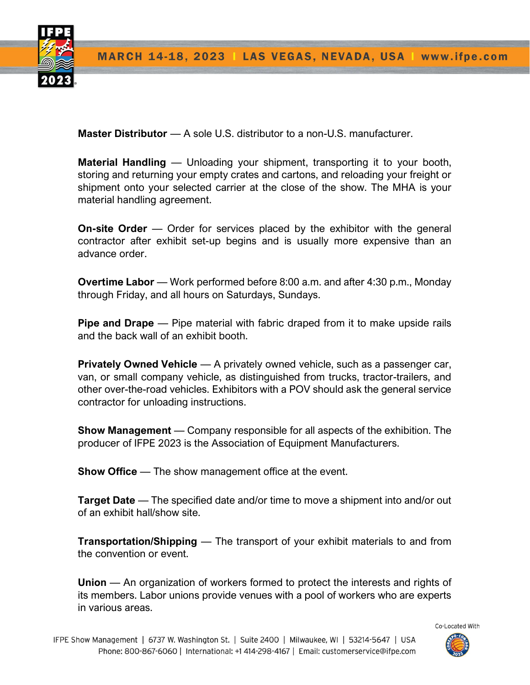

Master Distributor — A sole U.S. distributor to a non-U.S. manufacturer.

Material Handling — Unloading your shipment, transporting it to your booth, storing and returning your empty crates and cartons, and reloading your freight or shipment onto your selected carrier at the close of the show. The MHA is your material handling agreement.

**On-site Order** — Order for services placed by the exhibitor with the general contractor after exhibit set-up begins and is usually more expensive than an advance order.

Overtime Labor — Work performed before 8:00 a.m. and after 4:30 p.m., Monday through Friday, and all hours on Saturdays, Sundays.

Pipe and Drape — Pipe material with fabric draped from it to make upside rails and the back wall of an exhibit booth.

**Privately Owned Vehicle** — A privately owned vehicle, such as a passenger car, van, or small company vehicle, as distinguished from trucks, tractor-trailers, and other over-the-road vehicles. Exhibitors with a POV should ask the general service contractor for unloading instructions.

Show Management — Company responsible for all aspects of the exhibition. The producer of IFPE 2023 is the Association of Equipment Manufacturers.

**Show Office** — The show management office at the event.

Target Date — The specified date and/or time to move a shipment into and/or out of an exhibit hall/show site.

**Transportation/Shipping** — The transport of your exhibit materials to and from the convention or event.

Union — An organization of workers formed to protect the interests and rights of its members. Labor unions provide venues with a pool of workers who are experts in various areas.

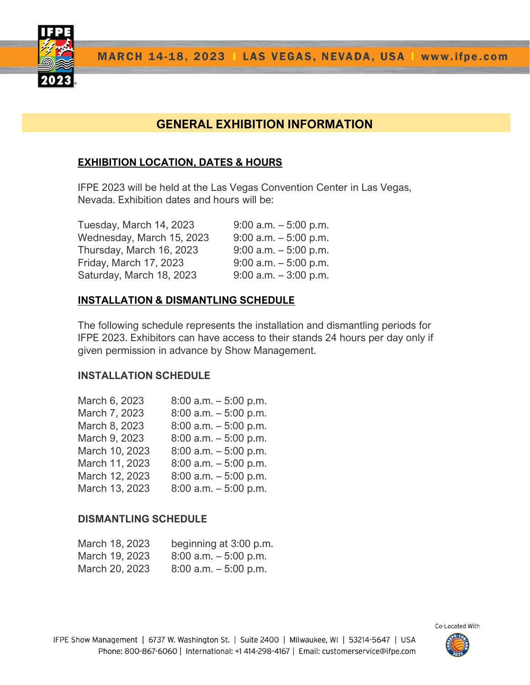

# GENERAL EXHIBITION INFORMATION

# EXHIBITION LOCATION, DATES & HOURS

IFPE 2023 will be held at the Las Vegas Convention Center in Las Vegas, Nevada. Exhibition dates and hours will be:

| Tuesday, March 14, 2023   | $9:00$ a.m. $-5:00$ p.m. |
|---------------------------|--------------------------|
| Wednesday, March 15, 2023 | $9:00$ a.m. $-5:00$ p.m. |
| Thursday, March 16, 2023  | $9:00$ a.m. $-5:00$ p.m. |
| Friday, March 17, 2023    | $9:00$ a.m. $-5:00$ p.m. |
| Saturday, March 18, 2023  | $9:00$ a.m. $-3:00$ p.m. |

# INSTALLATION & DISMANTLING SCHEDULE

The following schedule represents the installation and dismantling periods for IFPE 2023. Exhibitors can have access to their stands 24 hours per day only if given permission in advance by Show Management.

# INSTALLATION SCHEDULE

| March 6, 2023  | $8:00$ a.m. $-5:00$ p.m. |
|----------------|--------------------------|
| March 7, 2023  | $8:00$ a.m. $-5:00$ p.m. |
| March 8, 2023  | $8:00$ a.m. $-5:00$ p.m. |
| March 9, 2023  | $8:00$ a.m. $-5:00$ p.m. |
| March 10, 2023 | $8:00$ a.m. $-5:00$ p.m. |
| March 11, 2023 | $8:00$ a.m. $-5:00$ p.m. |
| March 12, 2023 | $8:00$ a.m. $-5:00$ p.m. |
| March 13, 2023 | $8:00$ a.m. $-5:00$ p.m. |

# DISMANTLING SCHEDULE

| March 18, 2023 | beginning at 3:00 p.m.   |
|----------------|--------------------------|
| March 19, 2023 | $8:00$ a.m. $-5:00$ p.m. |
| March 20, 2023 | $8:00$ a.m. $-5:00$ p.m. |

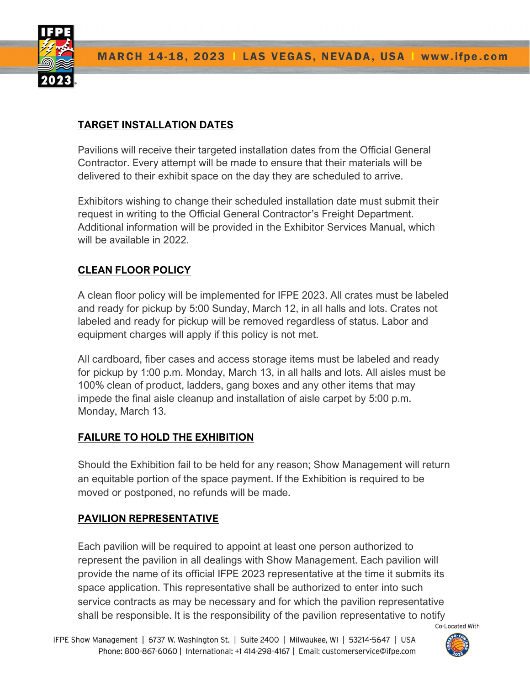

# TARGET INSTALLATION DATES

Pavilions will receive their targeted installation dates from the Official General Contractor. Every attempt will be made to ensure that their materials will be delivered to their exhibit space on the day they are scheduled to arrive.

Exhibitors wishing to change their scheduled installation date must submit their request in writing to the Official General Contractor's Freight Department. Additional information will be provided in the Exhibitor Services Manual, which will be available in 2022.

# CLEAN FLOOR POLICY

A clean floor policy will be implemented for IFPE 2023. All crates must be labeled and ready for pickup by 5:00 Sunday, March 12, in all halls and lots. Crates not labeled and ready for pickup will be removed regardless of status. Labor and equipment charges will apply if this policy is not met.

All cardboard, fiber cases and access storage items must be labeled and ready for pickup by 1:00 p.m. Monday, March 13, in all halls and lots. All aisles must be 100% clean of product, ladders, gang boxes and any other items that may impede the final aisle cleanup and installation of aisle carpet by 5:00 p.m. Monday, March 13.

# FAILURE TO HOLD THE EXHIBITION

Should the Exhibition fail to be held for any reason; Show Management will return an equitable portion of the space payment. If the Exhibition is required to be moved or postponed, no refunds will be made.

# PAVILION REPRESENTATIVE

Each pavilion will be required to appoint at least one person authorized to represent the pavilion in all dealings with Show Management. Each pavilion will provide the name of its official IFPE 2023 representative at the time it submits its space application. This representative shall be authorized to enter into such service contracts as may be necessary and for which the pavilion representative shall be responsible. It is the responsibility of the pavilion representative to notify Co-Located With

IFPE Show Management | 6737 W. Washington St. | Suite 2400 | Milwaukee, WI | 53214-5647 | USA Phone: 800-867-6060 | International: +1 414-298-4167 | Email: customerservice@ifpe.com

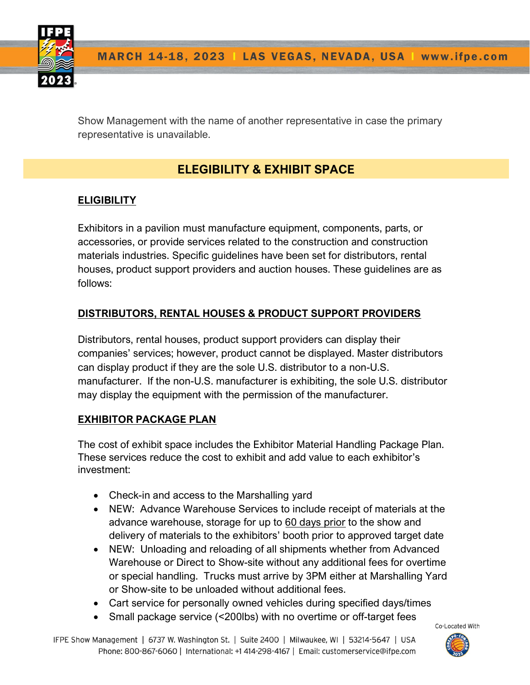

Show Management with the name of another representative in case the primary representative is unavailable.

# ELEGIBILITY & EXHIBIT SPACE

# **ELIGIBILITY**

Exhibitors in a pavilion must manufacture equipment, components, parts, or accessories, or provide services related to the construction and construction materials industries. Specific guidelines have been set for distributors, rental houses, product support providers and auction houses. These guidelines are as follows:

# DISTRIBUTORS, RENTAL HOUSES & PRODUCT SUPPORT PROVIDERS

Distributors, rental houses, product support providers can display their companies' services; however, product cannot be displayed. Master distributors can display product if they are the sole U.S. distributor to a non-U.S. manufacturer. If the non-U.S. manufacturer is exhibiting, the sole U.S. distributor may display the equipment with the permission of the manufacturer.

# EXHIBITOR PACKAGE PLAN

The cost of exhibit space includes the Exhibitor Material Handling Package Plan. These services reduce the cost to exhibit and add value to each exhibitor's investment:

- Check-in and access to the Marshalling yard
- NEW: Advance Warehouse Services to include receipt of materials at the advance warehouse, storage for up to 60 days prior to the show and delivery of materials to the exhibitors' booth prior to approved target date
- NEW: Unloading and reloading of all shipments whether from Advanced Warehouse or Direct to Show-site without any additional fees for overtime or special handling. Trucks must arrive by 3PM either at Marshalling Yard or Show-site to be unloaded without additional fees.
- Cart service for personally owned vehicles during specified days/times
- Small package service (<200lbs) with no overtime or off-target fees

IFPE Show Management | 6737 W. Washington St. | Suite 2400 | Milwaukee, WI | 53214-5647 | USA Phone: 800-867-6060 | International: +1 414-298-4167 | Email: customerservice@ifpe.com

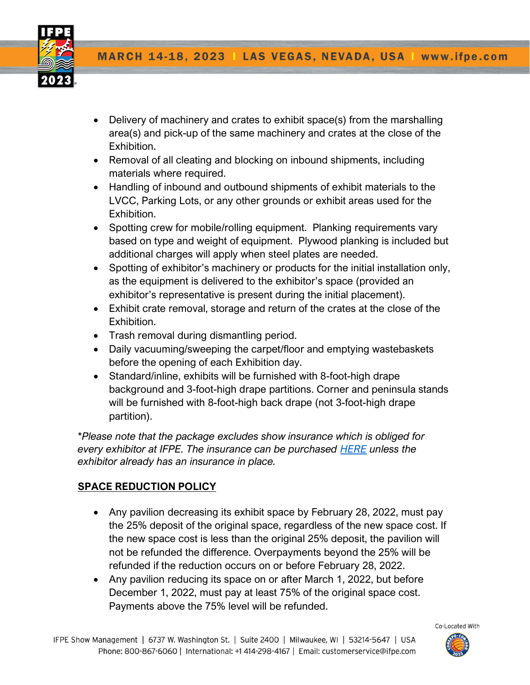

- Delivery of machinery and crates to exhibit space(s) from the marshalling area(s) and pick-up of the same machinery and crates at the close of the Exhibition.
- Removal of all cleating and blocking on inbound shipments, including materials where required.
- Handling of inbound and outbound shipments of exhibit materials to the LVCC, Parking Lots, or any other grounds or exhibit areas used for the Exhibition.
- Spotting crew for mobile/rolling equipment. Planking requirements vary based on type and weight of equipment. Plywood planking is included but additional charges will apply when steel plates are needed.
- Spotting of exhibitor's machinery or products for the initial installation only, as the equipment is delivered to the exhibitor's space (provided an exhibitor's representative is present during the initial placement).
- Exhibit crate removal, storage and return of the crates at the close of the Exhibition.
- Trash removal during dismantling period.
- Daily vacuuming/sweeping the carpet/floor and emptying wastebaskets before the opening of each Exhibition day.
- Standard/inline, exhibits will be furnished with 8-foot-high drape background and 3-foot-high drape partitions. Corner and peninsula stands will be furnished with 8-foot-high back drape (not 3-foot-high drape partition).

\*Please note that the package excludes show insurance which is obliged for everv exhibitor at IFPE. The insurance can be purchased HERE unless the exhibitor already has an insurance in place.

# SPACE REDUCTION POLICY

- Any pavilion decreasing its exhibit space by February 28, 2022, must pay the 25% deposit of the original space, regardless of the new space cost. If the new space cost is less than the original 25% deposit, the pavilion will not be refunded the difference. Overpayments beyond the 25% will be refunded if the reduction occurs on or before February 28, 2022.
- Any pavilion reducing its space on or after March 1, 2022, but before December 1, 2022, must pay at least 75% of the original space cost. Payments above the 75% level will be refunded.

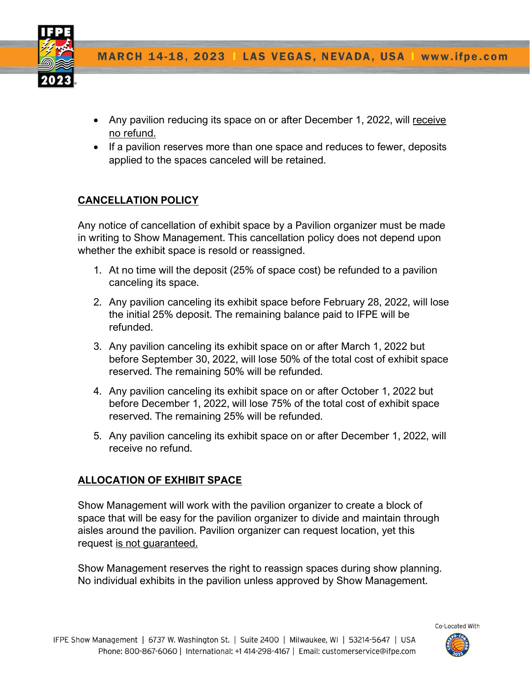

- Any pavilion reducing its space on or after December 1, 2022, will receive no refund.
- If a pavilion reserves more than one space and reduces to fewer, deposits applied to the spaces canceled will be retained.

### CANCELLATION POLICY

Any notice of cancellation of exhibit space by a Pavilion organizer must be made in writing to Show Management. This cancellation policy does not depend upon whether the exhibit space is resold or reassigned.

- 1. At no time will the deposit (25% of space cost) be refunded to a pavilion canceling its space.
- 2. Any pavilion canceling its exhibit space before February 28, 2022, will lose the initial 25% deposit. The remaining balance paid to IFPE will be refunded.
- 3. Any pavilion canceling its exhibit space on or after March 1, 2022 but before September 30, 2022, will lose 50% of the total cost of exhibit space reserved. The remaining 50% will be refunded.
- 4. Any pavilion canceling its exhibit space on or after October 1, 2022 but before December 1, 2022, will lose 75% of the total cost of exhibit space reserved. The remaining 25% will be refunded.
- 5. Any pavilion canceling its exhibit space on or after December 1, 2022, will receive no refund.

#### ALLOCATION OF EXHIBIT SPACE

Show Management will work with the pavilion organizer to create a block of space that will be easy for the pavilion organizer to divide and maintain through aisles around the pavilion. Pavilion organizer can request location, yet this request is not guaranteed.

Show Management reserves the right to reassign spaces during show planning. No individual exhibits in the pavilion unless approved by Show Management.

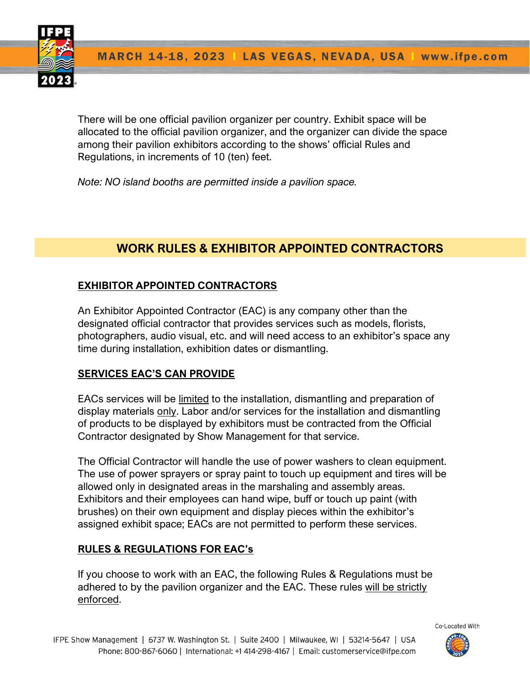

There will be one official pavilion organizer per country. Exhibit space will be allocated to the official pavilion organizer, and the organizer can divide the space among their pavilion exhibitors according to the shows' official Rules and Regulations, in increments of 10 (ten) feet.

Note: NO island booths are permitted inside a pavilion space.

# WORK RULES & EXHIBITOR APPOINTED CONTRACTORS

# EXHIBITOR APPOINTED CONTRACTORS

An Exhibitor Appointed Contractor (EAC) is any company other than the designated official contractor that provides services such as models, florists, photographers, audio visual, etc. and will need access to an exhibitor's space any time during installation, exhibition dates or dismantling.

# SERVICES EAC'S CAN PROVIDE

EACs services will be limited to the installation, dismantling and preparation of display materials only. Labor and/or services for the installation and dismantling of products to be displayed by exhibitors must be contracted from the Official Contractor designated by Show Management for that service.

The Official Contractor will handle the use of power washers to clean equipment. The use of power sprayers or spray paint to touch up equipment and tires will be allowed only in designated areas in the marshaling and assembly areas. Exhibitors and their employees can hand wipe, buff or touch up paint (with brushes) on their own equipment and display pieces within the exhibitor's assigned exhibit space; EACs are not permitted to perform these services.

# RULES & REGULATIONS FOR EAC's

If you choose to work with an EAC, the following Rules & Regulations must be adhered to by the pavilion organizer and the EAC. These rules will be strictly enforced.

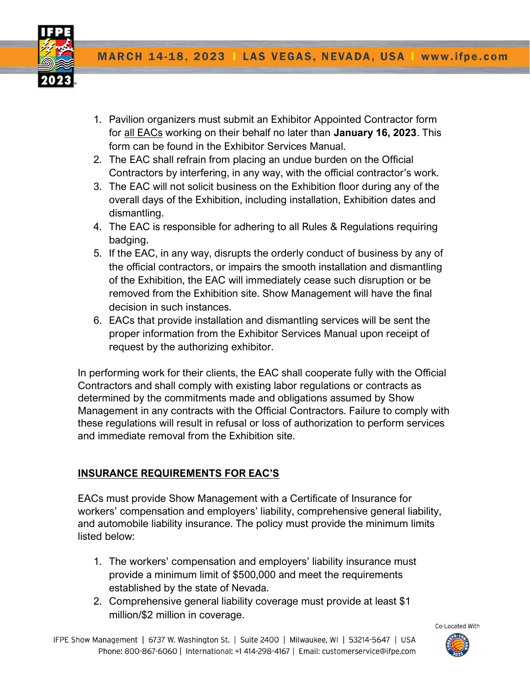

- 1. Pavilion organizers must submit an Exhibitor Appointed Contractor form for all EACs working on their behalf no later than January 16, 2023. This form can be found in the Exhibitor Services Manual.
- 2. The EAC shall refrain from placing an undue burden on the Official Contractors by interfering, in any way, with the official contractor's work.
- 3. The EAC will not solicit business on the Exhibition floor during any of the overall days of the Exhibition, including installation, Exhibition dates and dismantling.
- 4. The EAC is responsible for adhering to all Rules & Regulations requiring badging.
- 5. If the EAC, in any way, disrupts the orderly conduct of business by any of the official contractors, or impairs the smooth installation and dismantling of the Exhibition, the EAC will immediately cease such disruption or be removed from the Exhibition site. Show Management will have the final decision in such instances.
- 6. EACs that provide installation and dismantling services will be sent the proper information from the Exhibitor Services Manual upon receipt of request by the authorizing exhibitor.

In performing work for their clients, the EAC shall cooperate fully with the Official Contractors and shall comply with existing labor regulations or contracts as determined by the commitments made and obligations assumed by Show Management in any contracts with the Official Contractors. Failure to comply with these regulations will result in refusal or loss of authorization to perform services and immediate removal from the Exhibition site.

# INSURANCE REQUIREMENTS FOR EAC'S

EACs must provide Show Management with a Certificate of Insurance for workers' compensation and employers' liability, comprehensive general liability, and automobile liability insurance. The policy must provide the minimum limits listed below:

- 1. The workers' compensation and employers' liability insurance must provide a minimum limit of \$500,000 and meet the requirements established by the state of Nevada.
- 2. Comprehensive general liability coverage must provide at least \$1 million/\$2 million in coverage.

IFPE Show Management | 6737 W. Washington St. | Suite 2400 | Milwaukee, WI | 53214-5647 | USA Phone: 800-867-6060 | International: +1 414-298-4167 | Email: customerservice@ifpe.com

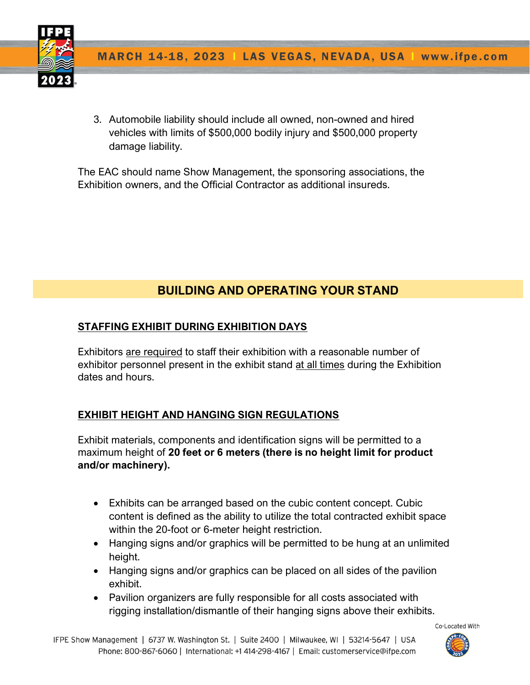

3. Automobile liability should include all owned, non-owned and hired vehicles with limits of \$500,000 bodily injury and \$500,000 property damage liability.

The EAC should name Show Management, the sponsoring associations, the Exhibition owners, and the Official Contractor as additional insureds.

# BUILDING AND OPERATING YOUR STAND

# STAFFING EXHIBIT DURING EXHIBITION DAYS

Exhibitors are required to staff their exhibition with a reasonable number of exhibitor personnel present in the exhibit stand at all times during the Exhibition dates and hours.

# EXHIBIT HEIGHT AND HANGING SIGN REGULATIONS

Exhibit materials, components and identification signs will be permitted to a maximum height of 20 feet or 6 meters (there is no height limit for product and/or machinery).

- Exhibits can be arranged based on the cubic content concept. Cubic content is defined as the ability to utilize the total contracted exhibit space within the 20-foot or 6-meter height restriction.
- Hanging signs and/or graphics will be permitted to be hung at an unlimited height.
- Hanging signs and/or graphics can be placed on all sides of the pavilion exhibit.
- Pavilion organizers are fully responsible for all costs associated with rigging installation/dismantle of their hanging signs above their exhibits.

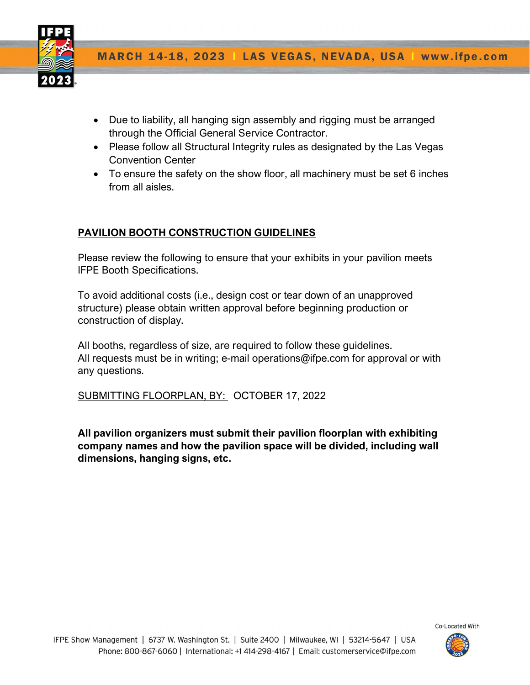

- Due to liability, all hanging sign assembly and rigging must be arranged through the Official General Service Contractor.
- Please follow all Structural Integrity rules as designated by the Las Vegas Convention Center
- To ensure the safety on the show floor, all machinery must be set 6 inches from all aisles.

# PAVILION BOOTH CONSTRUCTION GUIDELINES

Please review the following to ensure that your exhibits in your pavilion meets IFPE Booth Specifications.

To avoid additional costs (i.e., design cost or tear down of an unapproved structure) please obtain written approval before beginning production or construction of display.

All booths, regardless of size, are required to follow these guidelines. All requests must be in writing; e-mail operations@ifpe.com for approval or with any questions.

SUBMITTING FLOORPLAN, BY: OCTOBER 17, 2022

All pavilion organizers must submit their pavilion floorplan with exhibiting company names and how the pavilion space will be divided, including wall dimensions, hanging signs, etc.

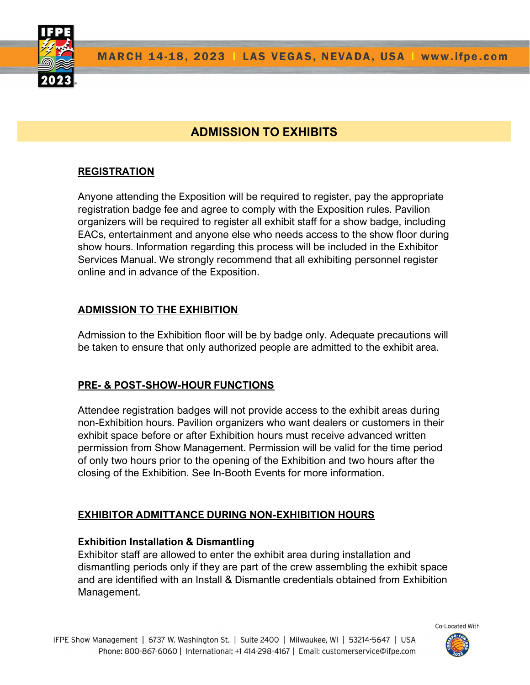

# ADMISSION TO EXHIBITS

# **REGISTRATION**

Anyone attending the Exposition will be required to register, pay the appropriate registration badge fee and agree to comply with the Exposition rules. Pavilion organizers will be required to register all exhibit staff for a show badge, including EACs, entertainment and anyone else who needs access to the show floor during show hours. Information regarding this process will be included in the Exhibitor Services Manual. We strongly recommend that all exhibiting personnel register online and in advance of the Exposition.

### ADMISSION TO THE EXHIBITION

Admission to the Exhibition floor will be by badge only. Adequate precautions will be taken to ensure that only authorized people are admitted to the exhibit area.

#### PRE- & POST-SHOW-HOUR FUNCTIONS

Attendee registration badges will not provide access to the exhibit areas during non-Exhibition hours. Pavilion organizers who want dealers or customers in their exhibit space before or after Exhibition hours must receive advanced written permission from Show Management. Permission will be valid for the time period of only two hours prior to the opening of the Exhibition and two hours after the closing of the Exhibition. See In-Booth Events for more information.

#### EXHIBITOR ADMITTANCE DURING NON-EXHIBITION HOURS

#### Exhibition Installation & Dismantling

Exhibitor staff are allowed to enter the exhibit area during installation and dismantling periods only if they are part of the crew assembling the exhibit space and are identified with an Install & Dismantle credentials obtained from Exhibition Management.  

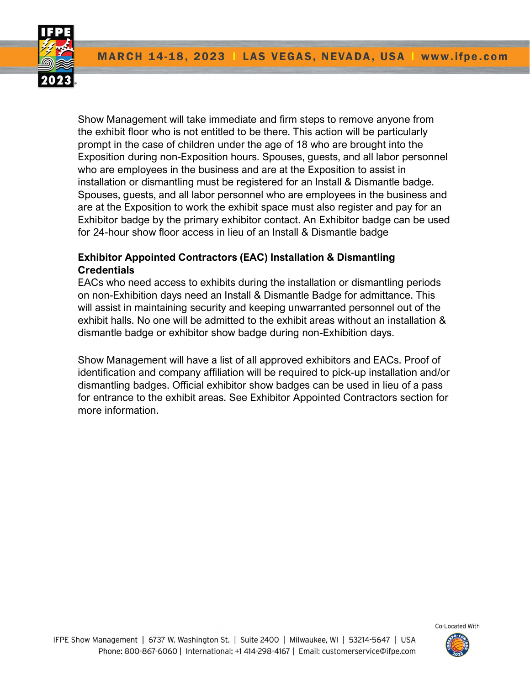**MARCH 14-18, 2023 | LAS VEGAS, NEVADA, USA |** www.ifpe.com



Show Management will take immediate and firm steps to remove anyone from the exhibit floor who is not entitled to be there. This action will be particularly prompt in the case of children under the age of 18 who are brought into the Exposition during non-Exposition hours. Spouses, guests, and all labor personnel who are employees in the business and are at the Exposition to assist in installation or dismantling must be registered for an Install & Dismantle badge. Spouses, guests, and all labor personnel who are employees in the business and are at the Exposition to work the exhibit space must also register and pay for an Exhibitor badge by the primary exhibitor contact. An Exhibitor badge can be used for 24-hour show floor access in lieu of an Install & Dismantle badge

# Exhibitor Appointed Contractors (EAC) Installation & Dismantling **Credentials**

EACs who need access to exhibits during the installation or dismantling periods on non-Exhibition days need an Install & Dismantle Badge for admittance. This will assist in maintaining security and keeping unwarranted personnel out of the exhibit halls. No one will be admitted to the exhibit areas without an installation & dismantle badge or exhibitor show badge during non-Exhibition days.

Show Management will have a list of all approved exhibitors and EACs. Proof of identification and company affiliation will be required to pick-up installation and/or dismantling badges. Official exhibitor show badges can be used in lieu of a pass for entrance to the exhibit areas. See Exhibitor Appointed Contractors section for more information.

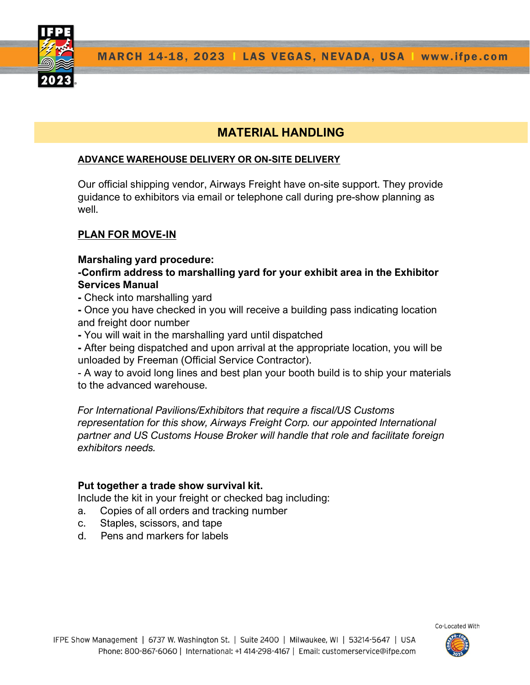# MATERIAL HANDLING

#### ADVANCE WAREHOUSE DELIVERY OR ON-SITE DELIVERY

Our official shipping vendor, Airways Freight have on-site support. They provide guidance to exhibitors via email or telephone call during pre-show planning as well.

# PLAN FOR MOVE-IN

#### Marshaling yard procedure:

### -Confirm address to marshalling yard for your exhibit area in the Exhibitor Services Manual

- Check into marshalling yard

- Once you have checked in you will receive a building pass indicating location and freight door number

- You will wait in the marshalling yard until dispatched

- After being dispatched and upon arrival at the appropriate location, you will be unloaded by Freeman (Official Service Contractor).

- A way to avoid long lines and best plan your booth build is to ship your materials to the advanced warehouse.

For International Pavilions/Exhibitors that require a fiscal/US Customs representation for this show, Airways Freight Corp. our appointed International partner and US Customs House Broker will handle that role and facilitate foreign exhibitors needs.

#### Put together a trade show survival kit.

Include the kit in your freight or checked bag including:

- a. Copies of all orders and tracking number
- c. Staples, scissors, and tape
- d. Pens and markers for labels

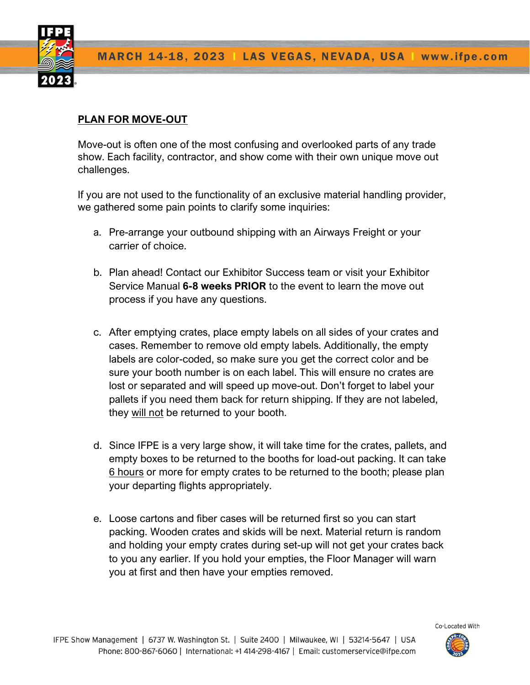

# PLAN FOR MOVE-OUT

Move-out is often one of the most confusing and overlooked parts of any trade show. Each facility, contractor, and show come with their own unique move out challenges.

If you are not used to the functionality of an exclusive material handling provider, we gathered some pain points to clarify some inquiries:

- a. Pre-arrange your outbound shipping with an Airways Freight or your carrier of choice.
- b. Plan ahead! Contact our Exhibitor Success team or visit your Exhibitor Service Manual 6-8 weeks PRIOR to the event to learn the move out process if you have any questions.
- c. After emptying crates, place empty labels on all sides of your crates and cases. Remember to remove old empty labels. Additionally, the empty labels are color-coded, so make sure you get the correct color and be sure your booth number is on each label. This will ensure no crates are lost or separated and will speed up move-out. Don't forget to label your pallets if you need them back for return shipping. If they are not labeled, they will not be returned to your booth.
- d. Since IFPE is a very large show, it will take time for the crates, pallets, and empty boxes to be returned to the booths for load-out packing. It can take 6 hours or more for empty crates to be returned to the booth; please plan your departing flights appropriately.
- e. Loose cartons and fiber cases will be returned first so you can start packing. Wooden crates and skids will be next. Material return is random and holding your empty crates during set-up will not get your crates back to you any earlier. If you hold your empties, the Floor Manager will warn you at first and then have your empties removed.

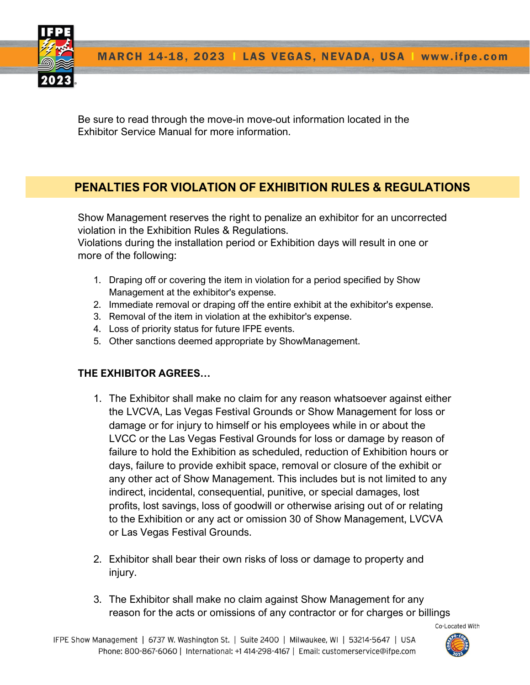

Be sure to read through the move-in move-out information located in the Exhibitor Service Manual for more information.

# PENALTIES FOR VIOLATION OF EXHIBITION RULES & REGULATIONS

Show Management reserves the right to penalize an exhibitor for an uncorrected violation in the Exhibition Rules & Regulations.

Violations during the installation period or Exhibition days will result in one or more of the following:

- 1. Draping off or covering the item in violation for a period specified by Show Management at the exhibitor's expense.
- 2. Immediate removal or draping off the entire exhibit at the exhibitor's expense.
- 3. Removal of the item in violation at the exhibitor's expense.
- 4. Loss of priority status for future IFPE events.
- 5. Other sanctions deemed appropriate by ShowManagement.

# THE EXHIBITOR AGREES…

- 1. The Exhibitor shall make no claim for any reason whatsoever against either the LVCVA, Las Vegas Festival Grounds or Show Management for loss or damage or for injury to himself or his employees while in or about the LVCC or the Las Vegas Festival Grounds for loss or damage by reason of failure to hold the Exhibition as scheduled, reduction of Exhibition hours or days, failure to provide exhibit space, removal or closure of the exhibit or any other act of Show Management. This includes but is not limited to any indirect, incidental, consequential, punitive, or special damages, lost profits, lost savings, loss of goodwill or otherwise arising out of or relating to the Exhibition or any act or omission 30 of Show Management, LVCVA or Las Vegas Festival Grounds.
- 2. Exhibitor shall bear their own risks of loss or damage to property and injury.
- 3. The Exhibitor shall make no claim against Show Management for any reason for the acts or omissions of any contractor or for charges or billings

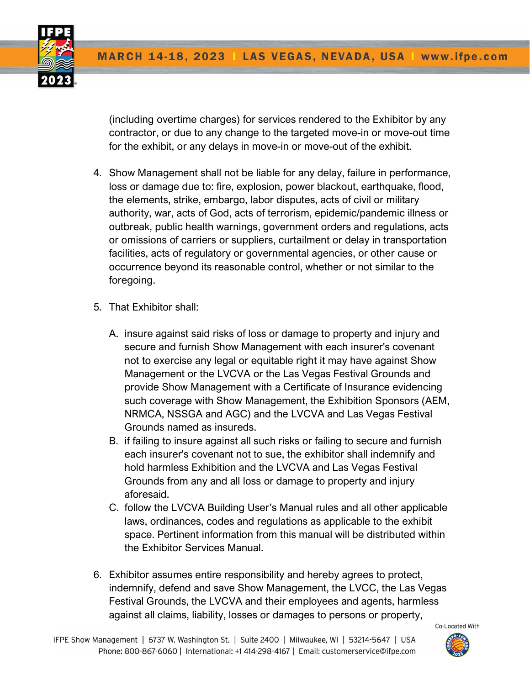(including overtime charges) for services rendered to the Exhibitor by any contractor, or due to any change to the targeted move-in or move-out time for the exhibit, or any delays in move-in or move-out of the exhibit.

- 4. Show Management shall not be liable for any delay, failure in performance, loss or damage due to: fire, explosion, power blackout, earthquake, flood, the elements, strike, embargo, labor disputes, acts of civil or military authority, war, acts of God, acts of terrorism, epidemic/pandemic illness or outbreak, public health warnings, government orders and regulations, acts or omissions of carriers or suppliers, curtailment or delay in transportation facilities, acts of regulatory or governmental agencies, or other cause or occurrence beyond its reasonable control, whether or not similar to the foregoing.
- 5. That Exhibitor shall:
	- A. insure against said risks of loss or damage to property and injury and secure and furnish Show Management with each insurer's covenant not to exercise any legal or equitable right it may have against Show Management or the LVCVA or the Las Vegas Festival Grounds and provide Show Management with a Certificate of Insurance evidencing such coverage with Show Management, the Exhibition Sponsors (AEM, NRMCA, NSSGA and AGC) and the LVCVA and Las Vegas Festival Grounds named as insureds.
	- B. if failing to insure against all such risks or failing to secure and furnish each insurer's covenant not to sue, the exhibitor shall indemnify and hold harmless Exhibition and the LVCVA and Las Vegas Festival Grounds from any and all loss or damage to property and injury aforesaid.
	- C. follow the LVCVA Building User's Manual rules and all other applicable laws, ordinances, codes and regulations as applicable to the exhibit space. Pertinent information from this manual will be distributed within the Exhibitor Services Manual.
- 6. Exhibitor assumes entire responsibility and hereby agrees to protect, indemnify, defend and save Show Management, the LVCC, the Las Vegas Festival Grounds, the LVCVA and their employees and agents, harmless against all claims, liability, losses or damages to persons or property,

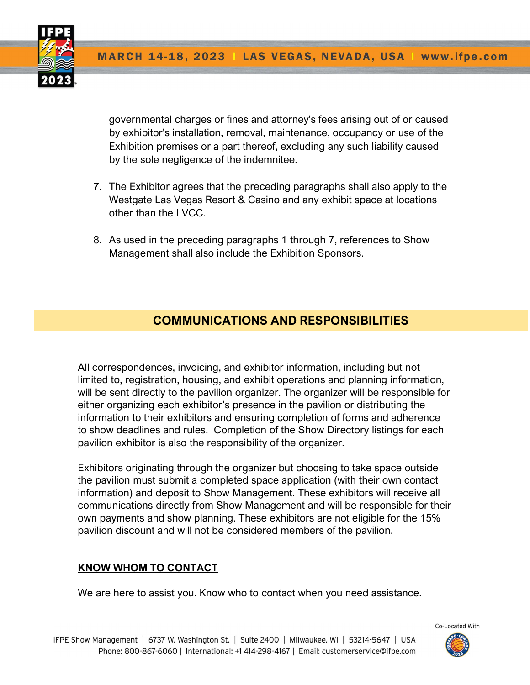

governmental charges or fines and attorney's fees arising out of or caused by exhibitor's installation, removal, maintenance, occupancy or use of the Exhibition premises or a part thereof, excluding any such liability caused by the sole negligence of the indemnitee.

- 7. The Exhibitor agrees that the preceding paragraphs shall also apply to the Westgate Las Vegas Resort & Casino and any exhibit space at locations other than the LVCC.
- 8. As used in the preceding paragraphs 1 through 7, references to Show Management shall also include the Exhibition Sponsors.

# COMMUNICATIONS AND RESPONSIBILITIES

All correspondences, invoicing, and exhibitor information, including but not limited to, registration, housing, and exhibit operations and planning information, will be sent directly to the pavilion organizer. The organizer will be responsible for either organizing each exhibitor's presence in the pavilion or distributing the information to their exhibitors and ensuring completion of forms and adherence to show deadlines and rules. Completion of the Show Directory listings for each pavilion exhibitor is also the responsibility of the organizer.

Exhibitors originating through the organizer but choosing to take space outside the pavilion must submit a completed space application (with their own contact information) and deposit to Show Management. These exhibitors will receive all communications directly from Show Management and will be responsible for their own payments and show planning. These exhibitors are not eligible for the 15% pavilion discount and will not be considered members of the pavilion.

# KNOW WHOM TO CONTACT

We are here to assist you. Know who to contact when you need assistance.